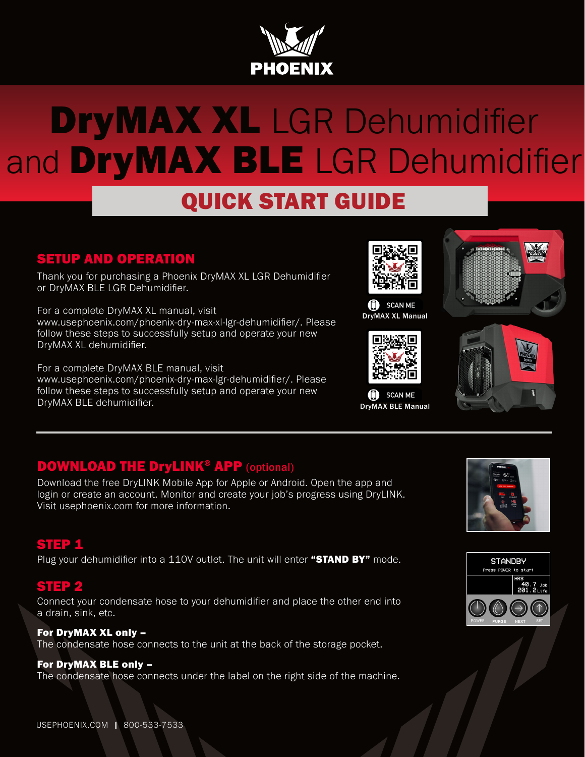

# DryMAX XL LGR Dehumidifier and **DryMAX BLE** LGR Dehumidifier

# QUICK START GUIDE

#### SETUP AND OPERATION

Thank you for purchasing a Phoenix DryMAX XL LGR Dehumidifier or DryMAX BLE LGR Dehumidifier.

For a complete DryMAX XL manual, visit www.usephoenix.com/phoenix-dry-max-xl-lgr-dehumidifier/. Please follow these steps to successfully setup and operate your new DryMAX XL dehumidifier.

For a complete DryMAX BLE manual, visit www.usephoenix.com/phoenix-dry-max-lgr-dehumidifier/. Please follow these steps to successfully setup and operate your new DryMAX BLE dehumidifier.



SCAN ME DryMAX XL Manual



**D** SCAN ME DryMAX BLE Manual





#### DOWNLOAD THE DryLINK® APP (optional)

Download the free DryLINK Mobile App for Apple or Android. Open the app and login or create an account. Monitor and create your job's progress using DryLINK. Visit usephoenix.com for more information.

#### STEP 1

Plug your dehumidifier into a  $110V$  outlet. The unit will enter "STAND BY" mode.

#### STEP 2

Connect your condensate hose to your dehumidifier and place the other end into a drain, sink, etc.

For DryMAX XL only – The condensate hose connects to the unit at the back of the storage pocket.

#### For DryMAX BLE only –

The condensate hose connects under the label on the right side of the machine.



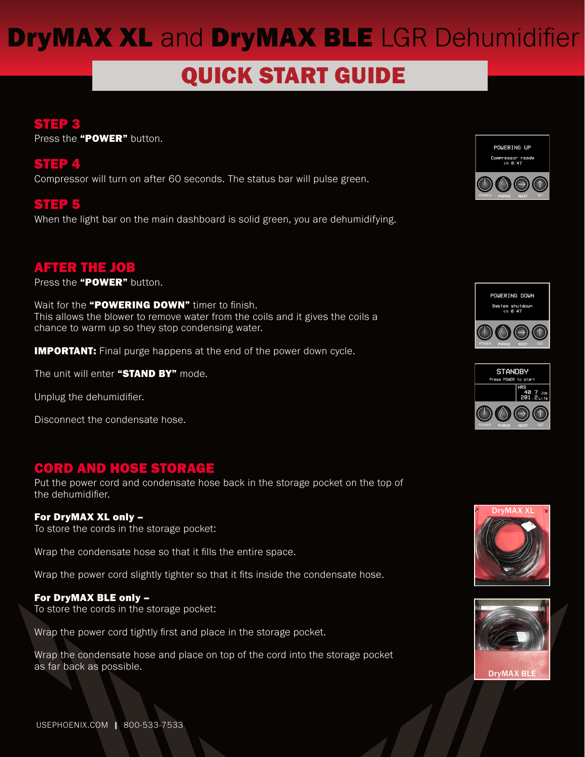# **DryMAX XL and DryMAX BLE LGR Dehumidifier**

# QUICK START GUIDE

#### STEP 3

Press the "POWER" button.

#### STEP 4

Compressor will turn on after 60 seconds. The status bar will pulse green.

#### STEP 5

When the light bar on the main dashboard is solid green, you are dehumidifying.

#### AFTER THE JOB

Press the "POWER" button.

Wait for the "POWERING DOWN" timer to finish. This allows the blower to remove water from the coils and it gives the coils a chance to warm up so they stop condensing water.

**IMPORTANT:** Final purge happens at the end of the power down cycle.

The unit will enter "STAND BY" mode.

Unplug the dehumidifier.

Disconnect the condensate hose.

#### CORD AND HOSE STORAGE

Put the power cord and condensate hose back in the storage pocket on the top of the dehumidifier.

#### For DryMAX XL only –

To store the cords in the storage pocket:

Wrap the condensate hose so that it fills the entire space.

Wrap the power cord slightly tighter so that it fits inside the condensate hose.

#### For DryMAX BLE only –

To store the cords in the storage pocket:

Wrap the power cord tightly first and place in the storage pocket.

Wrap the condensate hose and place on top of the cord into the storage pocket as far back as possible.









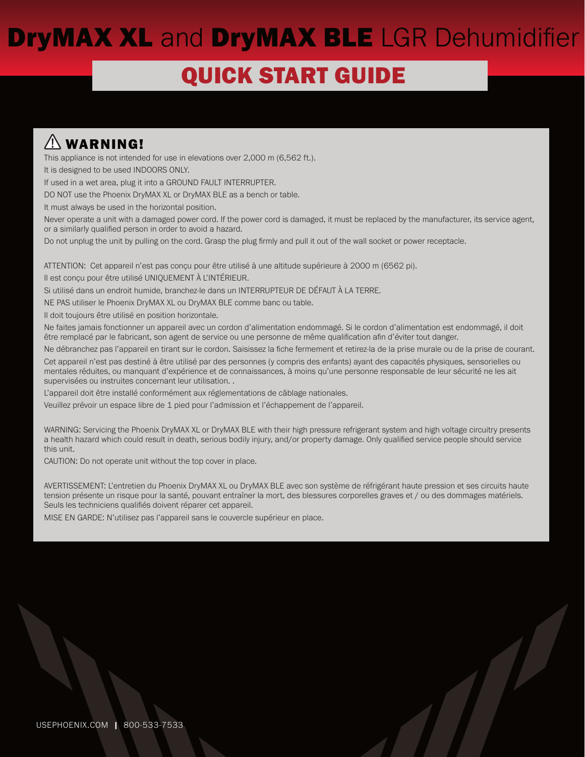# **DryMAX XL and DryMAX BLE LGR Dehumidifier**

# **QUICK START GUIDE**

### WARNING!

This appliance is not intended for use in elevations over 2,000 m (6,562 ft.).

It is designed to be used INDOORS ONLY.

If used in a wet area, plug it into a GROUND FAULT INTERRUPTER.

DO NOT use the Phoenix DryMAX XL or DryMAX BLE as a bench or table.

It must always be used in the horizontal position.

Never operate a unit with a damaged power cord. If the power cord is damaged, it must be replaced by the manufacturer, its service agent, or a similarly qualified person in order to avoid a hazard.

Do not unplug the unit by pulling on the cord. Grasp the plug firmly and pull it out of the wall socket or power receptacle.

ATTENTION: Cet appareil n'est pas conçu pour être utilisé à une altitude supérieure à 2000 m (6562 pi).

Il est conçu pour être utilisé UNIQUEMENT À L'INTÉRIEUR.

Si utilisé dans un endroit humide, branchez-le dans un INTERRUPTEUR DE DÉFAUT À LA TERRE.

NE PAS utiliser le Phoenix DryMAX XL ou DryMAX BLE comme banc ou table.

Il doit toujours être utilisé en position horizontale.

Ne faites jamais fonctionner un appareil avec un cordon d'alimentation endommagé. Si le cordon d'alimentation est endommagé, il doit être remplacé par le fabricant, son agent de service ou une personne de même qualification afin d'éviter tout danger.

Ne débranchez pas l'appareil en tirant sur le cordon. Saisissez la fiche fermement et retirez-la de la prise murale ou de la prise de courant.

Cet appareil n'est pas destiné à être utilisé par des personnes (y compris des enfants) ayant des capacités physiques, sensorielles ou mentales réduites, ou manquant d'expérience et de connaissances, à moins qu'une personne responsable de leur sécurité ne les ait supervisées ou instruites concernant leur utilisation. .

L'appareil doit être installé conformément aux réglementations de câblage nationales.

Veuillez prévoir un espace libre de 1 pied pour l'admission et l'échappement de l'appareil.

WARNING: Servicing the Phoenix DryMAX XL or DryMAX BLE with their high pressure refrigerant system and high voltage circuitry presents a health hazard which could result in death, serious bodily injury, and/or property damage. Only qualified service people should service this unit.

CAUTION: Do not operate unit without the top cover in place.

AVERTISSEMENT: L'entretien du Phoenix DryMAX XL ou DryMAX BLE avec son système de réfrigérant haute pression et ses circuits haute tension présente un risque pour la santé, pouvant entraîner la mort, des blessures corporelles graves et / ou des dommages matériels. Seuls les techniciens qualifiés doivent réparer cet appareil.

MISE EN GARDE: N'utilisez pas l'appareil sans le couvercle supérieur en place.